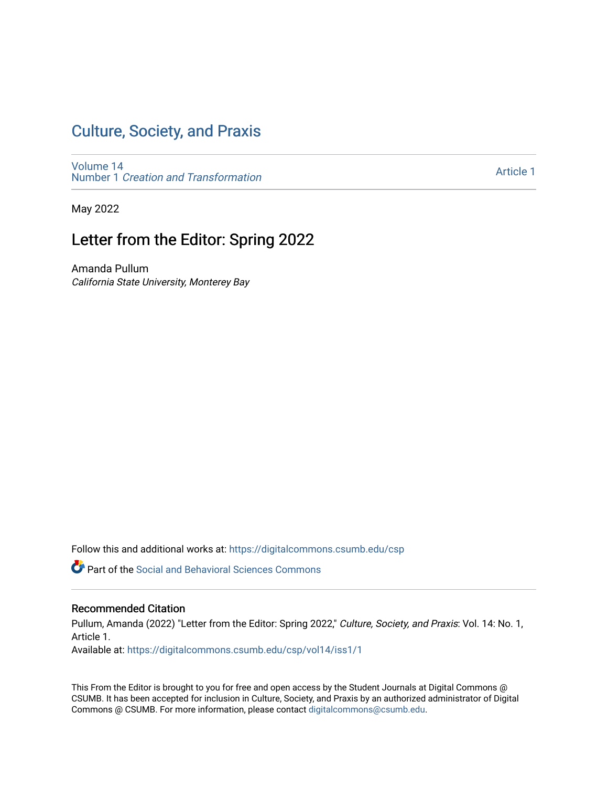### [Culture, Society, and Praxis](https://digitalcommons.csumb.edu/csp)

[Volume 14](https://digitalcommons.csumb.edu/csp/vol14) Number 1 [Creation and Transformation](https://digitalcommons.csumb.edu/csp/vol14/iss1)

[Article 1](https://digitalcommons.csumb.edu/csp/vol14/iss1/1) 

May 2022

## Letter from the Editor: Spring 2022

Amanda Pullum California State University, Monterey Bay

Follow this and additional works at: [https://digitalcommons.csumb.edu/csp](https://digitalcommons.csumb.edu/csp?utm_source=digitalcommons.csumb.edu%2Fcsp%2Fvol14%2Fiss1%2F1&utm_medium=PDF&utm_campaign=PDFCoverPages)

**C** Part of the Social and Behavioral Sciences Commons

#### Recommended Citation

Pullum, Amanda (2022) "Letter from the Editor: Spring 2022," Culture, Society, and Praxis: Vol. 14: No. 1, Article 1.

Available at: [https://digitalcommons.csumb.edu/csp/vol14/iss1/1](https://digitalcommons.csumb.edu/csp/vol14/iss1/1?utm_source=digitalcommons.csumb.edu%2Fcsp%2Fvol14%2Fiss1%2F1&utm_medium=PDF&utm_campaign=PDFCoverPages)

This From the Editor is brought to you for free and open access by the Student Journals at Digital Commons @ CSUMB. It has been accepted for inclusion in Culture, Society, and Praxis by an authorized administrator of Digital Commons @ CSUMB. For more information, please contact [digitalcommons@csumb.edu](mailto:digitalcommons@csumb.edu).